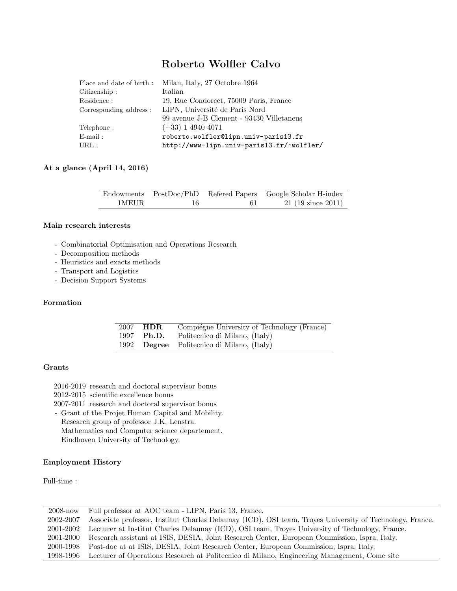## Roberto Wolfler Calvo

| Milan, Italy, 27 Octobre 1964             |
|-------------------------------------------|
| Italian                                   |
| 19, Rue Condorcet, 75009 Paris, France    |
| LIPN, Université de Paris Nord            |
| 99 avenue J-B Clement - 93430 Villetaneus |
| $(+33)$ 1 4940 4071                       |
| roberto.wolfler@lipn.univ-paris13.fr      |
| http://www-lipn.univ-paris13.fr/~wolfler/ |
|                                           |

## At a glance (April 14, 2016)

|       |           |    | Endowments PostDoc/PhD Refered Papers Google Scholar H-index |
|-------|-----------|----|--------------------------------------------------------------|
| 1MEUR | $\sim$ 16 | 61 | $21$ (19 since 2011)                                         |

## Main research interests

- Combinatorial Optimisation and Operations Research
- Decomposition methods
- Heuristics and exacts methods
- Transport and Logistics
- Decision Support Systems

## Formation

| 2007 HDR   | Compiégne University of Technology (France) |
|------------|---------------------------------------------|
| 1997 Ph.D. | Politecnico di Milano, (Italy)              |
|            | 1992 Degree Politecnico di Milano, (Italy)  |

## Grants

2016-2019 research and doctoral supervisor bonus 2012-2015 scientific excellence bonus 2007-2011 research and doctoral supervisor bonus - Grant of the Projet Human Capital and Mobility. Research group of professor J.K. Lenstra. Mathematics and Computer science departement. Eindhoven University of Technology.

# Employment History

Full-time :

| $2008 - now$ | Full professor at AOC team - LIPN, Paris 13, France.                                                     |
|--------------|----------------------------------------------------------------------------------------------------------|
| 2002-2007    | Associate professor, Institut Charles Delaunay (ICD), OSI team, Troyes University of Technology, France. |
| 2001-2002    | Lecturer at Institut Charles Delaunay (ICD), OSI team, Troyes University of Technology, France.          |
| 2001-2000    | Research assistant at ISIS, DESIA, Joint Research Center, European Commission, Ispra, Italy.             |
| 2000-1998    | Post-doc at at ISIS, DESIA, Joint Research Center, European Commission, Ispra, Italy.                    |
| 1998-1996    | Lecturer of Operations Research at Politecnico di Milano, Engineering Management, Come site              |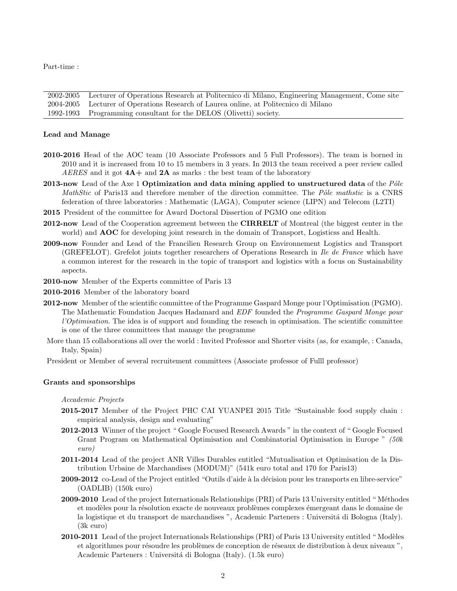Part-time :

2002-2005 Lecturer of Operations Research at Politecnico di Milano, Engineering Management, Come site 2004-2005 Lecturer of Operations Research of Laurea online, at Politecnico di Milano 1992-1993 Programming consultant for the DELOS (Olivetti) society.

## Lead and Manage

- 2010-2016 Head of the AOC team (10 Associate Professors and 5 Full Professors). The team is borned in 2010 and it is increased from 10 to 15 members in 3 years. In 2013 the team received a peer review called AERES and it got  $4A+$  and  $2A$  as marks : the best team of the laboratory
- 2013-now Lead of the Axe 1 Optimization and data mining applied to unstructured data of the  $P\hat{o}le$ MathStic of Paris13 and therefore member of the direction committee. The Pôle mathstic is a CNRS federation of three laboratories : Mathematic (LAGA), Computer science (LIPN) and Telecom (L2TI)
- 2015 President of the committee for Award Doctoral Dissertion of PGMO one edition
- 2012-now Lead of the Cooperation agreement between the **CIRRELT** of Montreal (the biggest center in the world) and **AOC** for developing joint research in the domain of Transport, Logisticss and Health.
- 2009-now Founder and Lead of the Francilien Research Group on Environnement Logistics and Transport (GREFELOT). Grefelot joints together researchers of Operations Research in Ile de France which have a common interest for the research in the topic of transport and logistics with a focus on Sustainability aspects.
- 2010-now Member of the Experts committee of Paris 13
- 2010-2016 Member of the laboratory board
- 2012-now Member of the scientific committee of the Programme Gaspard Monge pour l'Optimisation (PGMO). The Mathematic Foundation Jacques Hadamard and EDF founded the Programme Gaspard Monge pour l'Optimisation. The idea is of support and founding the reseach in optimisation. The scientific committee is one of the three committees that manage the programme
- More than 15 collaborations all over the world : Invited Professor and Shorter visits (as, for example, : Canada, Italy, Spain)
- President or Member of several recruitement committees (Associate professor of Fulll professor)

#### Grants and sponsorships

Accademic Projects

- 2015-2017 Member of the Project PHC CAI YUANPEI 2015 Title "Sustainable food supply chain : empirical analysis, design and evaluating"
- 2012-2013 Winner of the project " Google Focused Research Awards " in the context of " Google Focused Grant Program on Mathematical Optimisation and Combinatorial Optimisation in Europe " (50k euro)
- 2011-2014 Lead of the project ANR Villes Durables entitled "Mutualisation et Optimisation de la Distribution Urbaine de Marchandises (MODUM)" (541k euro total and 170 for Paris13)
- 2009-2012 co-Lead of the Project entitled "Outils d'aide à la décision pour les transports en libre-service" (OADLIB) (150k euro)
- 2009-2010 Lead of the project Internationals Relationships (PRI) of Paris 13 University entitled "Méthodes et modèles pour la résolution exacte de nouveaux problèmes complexes émergeant dans le domaine de la logistique et du transport de marchandises ", Academic Parteners : Università di Bologna (Italy). (3k euro)
- 2010-2011 Lead of the project Internationals Relationships (PRI) of Paris 13 University entitled "Modèles et algorithmes pour résoudre les problèmes de conception de réseaux de distribution à deux niveaux ", Academic Parteners : Universitá di Bologna (Italy). (1.5k euro)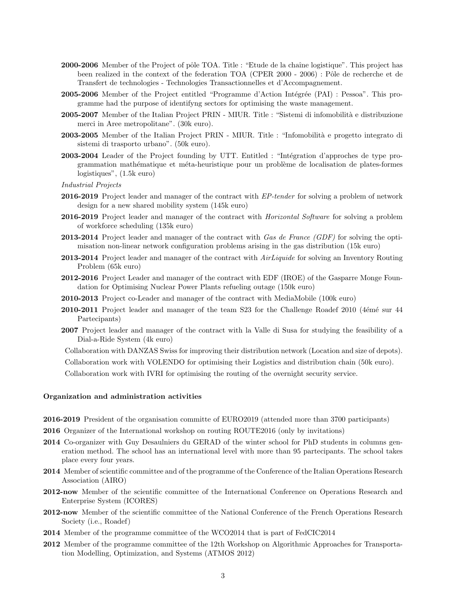- 2000-2006 Member of the Project of pôle TOA. Title : "Etude de la chaîne logistique". This project has been realized in the context of the federation TOA (CPER 2000 - 2006) : Pôle de recherche et de Transfert de technologies - Technologies Transactionnelles et d'Accompagnement.
- 2005-2006 Member of the Project entitled "Programme d'Action Intégrée (PAI) : Pessoa". This programme had the purpose of identifyng sectors for optimising the waste management.
- 2005-2007 Member of the Italian Project PRIN MIUR. Title : "Sistemi di infomobilità e distribuzione merci in Aree metropolitane". (30k euro).
- 2003-2005 Member of the Italian Project PRIN MIUR. Title : "Infomobilità e progetto integrato di sistemi di trasporto urbano". (50k euro).
- 2003-2004 Leader of the Project founding by UTT. Entitled : "Intégration d'approches de type programmation mathématique et méta-heuristique pour un problème de localisation de plates-formes logistiques", (1.5k euro)
- Industrial Projects
- 2016-2019 Project leader and manager of the contract with EP-tender for solving a problem of network design for a new shared mobility system (145k euro)
- 2016-2019 Project leader and manager of the contract with *Horizontal Software* for solving a problem of workforce scheduling (135k euro)
- 2013-2014 Project leader and manager of the contract with Gas de France (GDF) for solving the optimisation non-linear network configuration problems arising in the gas distribution (15k euro)
- 2013-2014 Project leader and manager of the contract with *AirLiquide* for solving an Inventory Routing Problem (65k euro)
- 2012-2016 Project Leader and manager of the contract with EDF (IROE) of the Gasparre Monge Foundation for Optimising Nuclear Power Plants refueling outage (150k euro)
- 2010-2013 Project co-Leader and manager of the contract with MediaMobile (100k euro)
- 2010-2011 Project leader and manager of the team S23 for the Challenge Roadef 2010 (4émé sur 44 Partecipants)
- 2007 Project leader and manager of the contract with la Valle di Susa for studying the feasibility of a Dial-a-Ride System (4k euro)

Collaboration with DANZAS Swiss for improving their distribution network (Location and size of depots).

Collaboration work with VOLENDO for optimising their Logistics and distribution chain (50k euro).

Collaboration work with IVRI for optimising the routing of the overnight security service.

#### Organization and administration activities

- 2016-2019 President of the organisation committe of EURO2019 (attended more than 3700 participants)
- 2016 Organizer of the International workshop on routing ROUTE2016 (only by invitations)
- 2014 Co-organizer with Guy Desaulniers du GERAD of the winter school for PhD students in columns generation method. The school has an international level with more than 95 partecipants. The school takes place every four years.
- 2014 Member of scientific committee and of the programme of the Conference of the Italian Operations Research Association (AIRO)
- 2012-now Member of the scientific committee of the International Conference on Operations Research and Enterprise System (ICORES)
- 2012-now Member of the scientific committee of the National Conference of the French Operations Research Society (i.e., Roadef)
- 2014 Member of the programme committee of the WCO2014 that is part of FedCIC2014
- 2012 Member of the programme committee of the 12th Workshop on Algorithmic Approaches for Transportation Modelling, Optimization, and Systems (ATMOS 2012)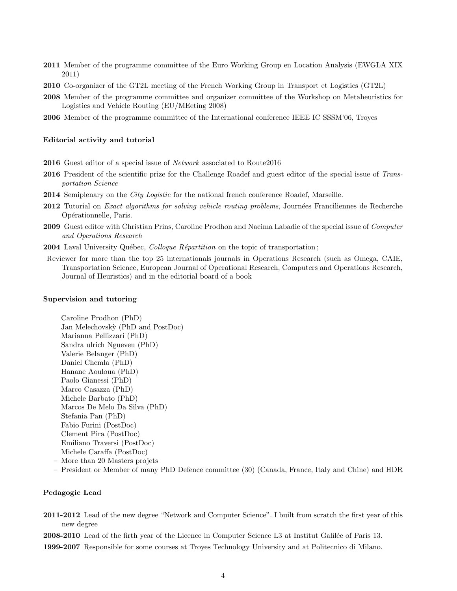- 2011 Member of the programme committee of the Euro Working Group en Location Analysis (EWGLA XIX 2011)
- 2010 Co-organizer of the GT2L meeting of the French Working Group in Transport et Logistics (GT2L)
- 2008 Member of the programme committee and organizer committee of the Workshop on Metaheuristics for Logistics and Vehicle Routing (EU/MEeting 2008)
- 2006 Member of the programme committee of the International conference IEEE IC SSSM'06, Troyes

#### Editorial activity and tutorial

- 2016 Guest editor of a special issue of Network associated to Route2016
- 2016 President of the scientific prize for the Challenge Roadef and guest editor of the special issue of Transportation Science
- 2014 Semiplenary on the *City Logistic* for the national french conference Roadef, Marseille.
- 2012 Tutorial on *Exact algorithms for solving vehicle routing problems*, Journées Franciliennes de Recherche Opérationnelle, Paris.
- 2009 Guest editor with Christian Prins, Caroline Prodhon and Nacima Labadie of the special issue of Computer and Operations Research

2004 Laval University Québec, Colloque Répartition on the topic of transportation;

Reviewer for more than the top 25 internationals journals in Operations Research (such as Omega, CAIE, Transportation Science, European Journal of Operational Research, Computers and Operations Research, Journal of Heuristics) and in the editorial board of a book

#### Supervision and tutoring

Caroline Prodhon (PhD) Jan Melechovsk`y (PhD and PostDoc) Marianna Pellizzari (PhD) Sandra ulrich Ngueveu (PhD) Valerie Belanger (PhD) Daniel Chemla (PhD) Hanane Aouloua (PhD) Paolo Gianessi (PhD) Marco Casazza (PhD) Michele Barbato (PhD) Marcos De Melo Da Silva (PhD) Stefania Pan (PhD) Fabio Furini (PostDoc) Clement Pira (PostDoc) Emiliano Traversi (PostDoc) Michele Caraffa (PostDoc)

- More than 20 Masters projets
- President or Member of many PhD Defence committee (30) (Canada, France, Italy and Chine) and HDR

## Pedagogic Lead

- 2011-2012 Lead of the new degree "Network and Computer Science". I built from scratch the first year of this new degree
- 2008-2010 Lead of the firth year of the Licence in Computer Science L3 at Institut Galilée of Paris 13.
- 1999-2007 Responsible for some courses at Troyes Technology University and at Politecnico di Milano.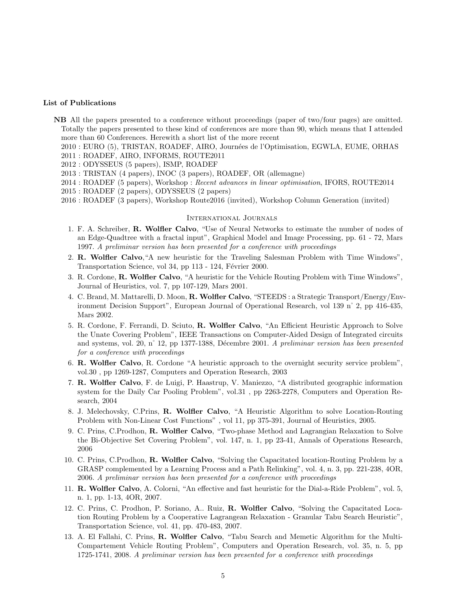## List of Publications

- NB All the papers presented to a conference without proceedings (paper of two/four pages) are omitted. Totally the papers presented to these kind of conferences are more than 90, which means that I attended more than 60 Conferences. Herewith a short list of the more recent
	- 2010 : EURO (5), TRISTAN, ROADEF, AIRO, Journées de l'Optimisation, EGWLA, EUME, ORHAS
	- 2011 : ROADEF, AIRO, INFORMS, ROUTE2011
	- 2012 : ODYSSEUS (5 papers), ISMP, ROADEF
	- 2013 : TRISTAN (4 papers), INOC (3 papers), ROADEF, OR (allemagne)
	- 2014 : ROADEF (5 papers), Workshop : Recent advances in linear optimisation, IFORS, ROUTE2014
	- 2015 : ROADEF (2 papers), ODYSSEUS (2 papers)
	- 2016 : ROADEF (3 papers), Workshop Route2016 (invited), Workshop Column Generation (invited)

#### International Journals

- 1. F. A. Schreiber, R. Wolfler Calvo, "Use of Neural Networks to estimate the number of nodes of an Edge-Quadtree with a fractal input", Graphical Model and Image Processing, pp. 61 - 72, Mars 1997. A preliminar version has been presented for a conference with proceedings
- 2. R. Wolfler Calvo,"A new heuristic for the Traveling Salesman Problem with Time Windows", Transportation Science, vol 34, pp 113 - 124, Février 2000.
- 3. R. Cordone, R. Wolfler Calvo, "A heuristic for the Vehicle Routing Problem with Time Windows", Journal of Heuristics, vol. 7, pp 107-129, Mars 2001.
- 4. C. Brand, M. Mattarelli, D. Moon, R. Wolfler Calvo, "STEEDS : a Strategic Transport/Energy/Environment Decision Support", European Journal of Operational Research, vol 139 n˚ 2, pp 416-435, Mars 2002.
- 5. R. Cordone, F. Ferrandi, D. Sciuto, R. Wolfler Calvo, "An Efficient Heuristic Approach to Solve the Unate Covering Problem", IEEE Transactions on Computer-Aided Design of Integrated circuits and systems, vol. 20, n° 12, pp 1377-1388, Décembre 2001. A preliminar version has been presented for a conference with proceedings
- 6. R. Wolfler Calvo, R. Cordone "A heuristic approach to the overnight security service problem", vol.30 , pp 1269-1287, Computers and Operation Research, 2003
- 7. R. Wolfler Calvo, F. de Luigi, P. Haastrup, V. Maniezzo, "A distributed geographic information system for the Daily Car Pooling Problem", vol.31 , pp 2263-2278, Computers and Operation Research, 2004
- 8. J. Melechovsky, C.Prins, R. Wolfler Calvo, "A Heuristic Algorithm to solve Location-Routing Problem with Non-Linear Cost Functions" , vol 11, pp 375-391, Journal of Heuristics, 2005.
- 9. C. Prins, C.Prodhon, R. Wolfler Calvo, "Two-phase Method and Lagrangian Relaxation to Solve the Bi-Objective Set Covering Problem", vol. 147, n. 1, pp 23-41, Annals of Operations Research, 2006
- 10. C. Prins, C.Prodhon, R. Wolfler Calvo, "Solving the Capacitated location-Routing Problem by a GRASP complemented by a Learning Process and a Path Relinking", vol. 4, n. 3, pp. 221-238, 4OR, 2006. A preliminar version has been presented for a conference with proceedings
- 11. R. Wolfler Calvo, A. Colorni, "An effective and fast heuristic for the Dial-a-Ride Problem", vol. 5, n. 1, pp. 1-13, 4OR, 2007.
- 12. C. Prins, C. Prodhon, P. Soriano, A.. Ruiz, R. Wolfler Calvo, "Solving the Capacitated Location Routing Problem by a Cooperative Lagrangean Relaxation - Granular Tabu Search Heuristic", Transportation Science, vol. 41, pp. 470-483, 2007.
- 13. A. El Fallahi, C. Prins, R. Wolfler Calvo, "Tabu Search and Memetic Algorithm for the Multi-Compartement Vehicle Routing Problem", Computers and Operation Research, vol. 35, n. 5, pp 1725-1741, 2008. A preliminar version has been presented for a conference with proceedings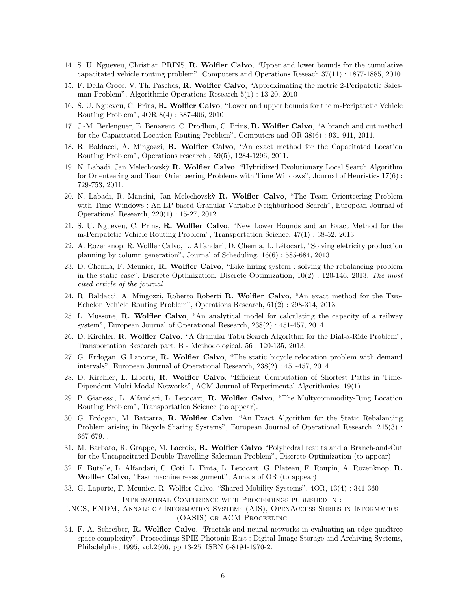- 14. S. U. Ngueveu, Christian PRINS, R. Wolfler Calvo, "Upper and lower bounds for the cumulative capacitated vehicle routing problem", Computers and Operations Reseach 37(11) : 1877-1885, 2010.
- 15. F. Della Croce, V. Th. Paschos, R. Wolfler Calvo, "Approximating the metric 2-Peripatetic Salesman Problem", Algorithmic Operations Research 5(1) : 13-20, 2010
- 16. S. U. Ngueveu, C. Prins, R. Wolfler Calvo, "Lower and upper bounds for the m-Peripatetic Vehicle Routing Problem", 4OR 8(4) : 387-406, 2010
- 17. J.-M. Berlenguer, E. Benavent, C. Prodhon, C. Prins, R. Wolfler Calvo, "A branch and cut method for the Capacitated Location Routing Problem", Computers and OR 38(6) : 931-941, 2011.
- 18. R. Baldacci, A. Mingozzi, R. Wolfler Calvo, "An exact method for the Capacitated Location Routing Problem", Operations research , 59(5), 1284-1296, 2011.
- 19. N. Labadi, Jan Melechovskỳ R. Wolfler Calvo, "Hybridized Evolutionary Local Search Algorithm for Orienteering and Team Orienteering Problems with Time Windows", Journal of Heuristics 17(6) : 729-753, 2011.
- 20. N. Labadi, R. Mansini, Jan Melechovskỳ R. Wolfler Calvo, "The Team Orienteering Problem with Time Windows : An LP-based Granular Variable Neighborhood Search", European Journal of Operational Research, 220(1) : 15-27, 2012
- 21. S. U. Ngueveu, C. Prins, R. Wolfler Calvo, "New Lower Bounds and an Exact Method for the m-Peripatetic Vehicle Routing Problem", Transportation Science, 47(1) : 38-52, 2013
- 22. A. Rozenknop, R. Wolfler Calvo, L. Alfandari, D. Chemla, L. L´etocart, "Solving eletricity production planning by column generation", Journal of Scheduling, 16(6) : 585-684, 2013
- 23. D. Chemla, F. Meunier, R. Wolfler Calvo, "Bike hiring system : solving the rebalancing problem in the static case", Discrete Optimization, Discrete Optimization,  $10(2)$ : 120-146, 2013. The most cited article of the journal
- 24. R. Baldacci, A. Mingozzi, Roberto Roberti R. Wolfler Calvo, "An exact method for the Two-Echelon Vehicle Routing Problem", Operations Research, 61(2) : 298-314, 2013.
- 25. L. Mussone, R. Wolfler Calvo, "An analytical model for calculating the capacity of a railway system", European Journal of Operational Research, 238(2) : 451-457, 2014
- 26. D. Kirchler, R. Wolfler Calvo, "A Granular Tabu Search Algorithm for the Dial-a-Ride Problem", Transportation Research part. B - Methodological, 56 : 120-135, 2013.
- 27. G. Erdogan, G Laporte, R. Wolfler Calvo, "The static bicycle relocation problem with demand intervals", European Journal of Operational Research, 238(2) : 451-457, 2014.
- 28. D. Kirchler, L. Liberti, R. Wolfler Calvo, "Efficient Computation of Shortest Paths in Time-Dipendent Multi-Modal Networks", ACM Journal of Experimental Algorithmics, 19(1).
- 29. P. Gianessi, L. Alfandari, L. Letocart, R. Wolfler Calvo, "The Multycommodity-Ring Location Routing Problem", Transportation Science (to appear).
- 30. G. Erdogan, M. Battarra, R. Wolfler Calvo, "An Exact Algorithm for the Static Rebalancing Problem arising in Bicycle Sharing Systems", European Journal of Operational Research, 245(3) : 667-679. .
- 31. M. Barbato, R. Grappe, M. Lacroix, R. Wolfler Calvo "Polyhedral results and a Branch-and-Cut for the Uncapacitated Double Travelling Salesman Problem", Discrete Optimization (to appear)
- 32. F. Butelle, L. Alfandari, C. Coti, L. Finta, L. Letocart, G. Plateau, F. Roupin, A. Rozenknop, R. Wolfler Calvo, "Fast machine reassignment", Annals of OR (to appear)
- 33. G. Laporte, F. Meunier, R. Wolfler Calvo, "Shared Mobility Systems", 4OR, 13(4) : 341-360

Internatinal Conference with Proceedings published in :

- LNCS, ENDM, Annals of Information Systems (AIS), OpenAccess Series in Informatics (OASIS) or ACM Proceeding
- 34. F. A. Schreiber, R. Wolfler Calvo, "Fractals and neural networks in evaluating an edge-quadtree space complexity", Proceedings SPIE-Photonic East : Digital Image Storage and Archiving Systems, Philadelphia, 1995, vol.2606, pp 13-25, ISBN 0-8194-1970-2.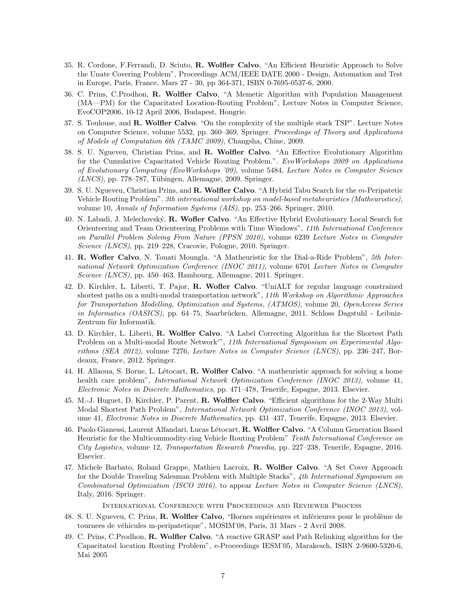- 35. R. Cordone, F.Ferrandi, D. Sciuto, R. Wolfler Calvo, "An Efficient Heuristic Approach to Solve the Unate Covering Problem", Proceedings ACM/IEEE DATE 2000 - Design, Automation and Test in Europe, Paris, France, Mars 27 - 30, pp 364-371, ISBN 0-7695-0537-6, 2000.
- 36. C. Prins, C.Prodhon, R. Wolfler Calvo, "A Memetic Algorithm with Population Management (MA—PM) for the Capacitated Location-Routing Problem", Lecture Notes in Computer Science, EvoCOP2006, 10-12 April 2006, Budapest, Hongrie.
- 37. S. Toulouse, and R. Wolfler Calvo. "On the complexity of the multiple stack TSP". Lecture Notes on Computer Science, volume 5532, pp. 360–369, Springer. Proceedings of Theory and Applications of Models of Computation 6th (TAMC 2009), Changsha, Chine, 2009.
- 38. S. U. Ngueveu, Christian Prins, and R. Wolfler Calvo. "An Effective Evolutionary Algorithm for the Cumulative Capacitated Vehicle Routing Problem.". EvoWorkshops 2009 on Applications of Evolutionary Computing (EvoWorkshops '09), volume 5484, Lecture Notes in Computer Science  $(LNCS)$ , pp. 778–787, Tübingen, Allemagne, 2009. Springer.
- 39. S. U. Ngueveu, Christian Prins, and R. Wolfler Calvo. "A Hybrid Tabu Search for the m-Peripatetic Vehicle Routing Problem". 3th international workshop on model-based metaheuristics (Matheuristics), volume 10, Annals of Information Systems (AIS), pp. 253–266. Springer, 2010.
- 40. N. Labadi, J. Melechovský, R. Wofler Calvo. "An Effective Hybrid Evolutionary Local Search for Orienteering and Team Orienteering Problems with Time Windows", 11th International Conference on Parallel Problem Solving From Nature (PPSN 2010), volume 6239 Lecture Notes in Computer Science (LNCS), pp. 219–228, Cracovie, Pologne, 2010. Springer.
- 41. R. Wofler Calvo, N. Touati Moungla. "A Matheuristic for the Dial-a-Ride Problem", 5th International Network Optimization Conference (INOC 2011), volume 6701 Lecture Notes in Computer Science (LNCS), pp. 450–463, Hambourg, Allemagne, 2011. Springer.
- 42. D. Kirchler, L. Liberti, T. Pajor, R. Wofler Calvo. "UniALT for regular language constrained shortest paths on a multi-modal transportation network", 11th Workshop on Algorithmic Approaches for Transportation Modelling, Optimization and Systems, (ATMOS), volume 20, OpenAccess Series in Informatics (OASICS), pp. 64–75, Saarbrücken, Allemagne, 2011. Schloss Dagstuhl - Leibniz-Zentrum für Informatik.
- 43. D. Kirchler, L. Liberti, R. Wolfler Calvo. "A Label Correcting Algorithm for the Shortest Path Problem on a Multi-modal Route Network", 11th International Symposium on Experimental Algorithms (SEA 2012), volume 7276, Lecture Notes in Computer Science (LNCS), pp. 236–247, Bordeaux, France, 2012. Springer.
- 44. H. Allaoua, S. Borne, L. Létocart, R. Wolfler Calvo. "A matheuristic approach for solving a home health care problem", *International Network Optimization Conference (INOC 2013)*, volume 41, Electronic Notes in Discrete Mathematics, pp. 471–478, Tenerife, Espagne, 2013. Elsevier.
- 45. M.-J. Huguet, D. Kirchler, P. Parent, R. Wolfler Calvo. "Efficient algorithms for the 2-Way Multi Modal Shortest Path Problem", *International Network Optimization Conference (INOC 2013)*, volume 41, Electronic Notes in Discrete Mathematics, pp. 431–437, Tenerife, Espagne, 2013. Elsevier.
- 46. Paolo Gianessi, Laurent Alfandari, Lucas Létocart, R. Wolfler Calvo. "A Column Generation Based Heuristic for the Multicommodity-ring Vehicle Routing Problem" Tenth International Conference on City Logistics, volume 12, Transportation Research Procedia, pp. 227–238, Tenerife, Espagne, 2016. Elsevier.
- 47. Michele Barbato, Roland Grappe, Mathieu Lacroix, R. Wolfler Calvo. "A Set Cover Approach for the Double Traveling Salesman Problem with Multiple Stacks", 4th International Symposium on Combinatorial Optimization (ISCO 2016), to appear Lecture Notes in Computer Science (LNCS), Italy, 2016. Springer.

International Conference with Proceedings and Reviewer Process

- 48. S. U. Ngueveu, C. Prins, R. Wolfler Calvo, "Bornes supérieures et inférieures pour le problème de tournees de véhicules m-peripatetique", MOSIM'08, Paris, 31 Mars - 2 Avril 2008.
- 49. C. Prins, C.Prodhon, R. Wolfler Calvo, "A reactive GRASP and Path Relinking algorithm for the Capacitated location Routing Problem", e-Proceedings IESM'05, Marakesch, ISBN 2-9600-5320-6, Mai 2005